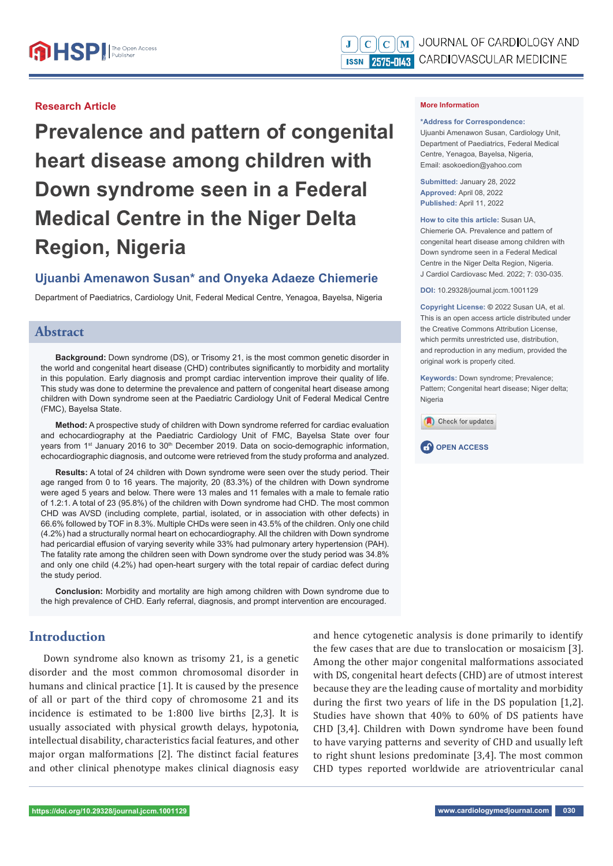#### **Research Article**

**Prevalence and pattern of congenital heart disease among children with Down syndrome seen in a Federal Medical Centre in the Niger Delta Region, Nigeria**

# **Ujuanbi Amenawon Susan\* and Onyeka Adaeze Chiemerie**

Department of Paediatrics, Cardiology Unit, Federal Medical Centre, Yenagoa, Bayelsa, Nigeria

### **Abstract**

**Background:** Down syndrome (DS), or Trisomy 21, is the most common genetic disorder in the world and congenital heart disease (CHD) contributes significantly to morbidity and mortality in this population. Early diagnosis and prompt cardiac intervention improve their quality of life. This study was done to determine the prevalence and pattern of congenital heart disease among children with Down syndrome seen at the Paediatric Cardiology Unit of Federal Medical Centre (FMC), Bayelsa State.

**Method:** A prospective study of children with Down syndrome referred for cardiac evaluation and echocardiography at the Paediatric Cardiology Unit of FMC, Bayelsa State over four years from 1<sup>st</sup> January 2016 to 30<sup>th</sup> December 2019. Data on socio-demographic information, echocardiographic diagnosis, and outcome were retrieved from the study proforma and analyzed.

**Results:** A total of 24 children with Down syndrome were seen over the study period. Their age ranged from 0 to 16 years. The majority, 20 (83.3%) of the children with Down syndrome were aged 5 years and below. There were 13 males and 11 females with a male to female ratio of 1.2:1. A total of 23 (95.8%) of the children with Down syndrome had CHD. The most common CHD was AVSD (including complete, partial, isolated, or in association with other defects) in 66.6% followed by TOF in 8.3%. Multiple CHDs were seen in 43.5% of the children. Only one child (4.2%) had a structurally normal heart on echocardiography. All the children with Down syndrome had pericardial effusion of varying severity while 33% had pulmonary artery hypertension (PAH). The fatality rate among the children seen with Down syndrome over the study period was 34.8% and only one child (4.2%) had open-heart surgery with the total repair of cardiac defect during the study period.

**Conclusion:** Morbidity and mortality are high among children with Down syndrome due to the high prevalence of CHD. Early referral, diagnosis, and prompt intervention are encouraged.

# **Introduction**

Down syndrome also known as trisomy 21, is a genetic disorder and the most common chromosomal disorder in humans and clinical practice [1]. It is caused by the presence of all or part of the third copy of chromosome 21 and its incidence is estimated to be 1:800 live births [2,3]. It is usually associated with physical growth delays, hypotonia, intellectual disability, characteristics facial features, and other major organ malformations [2]. The distinct facial features and other clinical phenotype makes clinical diagnosis easy and hence cytogenetic analysis is done primarily to identify the few cases that are due to translocation or mosaicism [3]. Among the other major congenital malformations associated with DS, congenital heart defects (CHD) are of utmost interest because they are the leading cause of mortality and morbidity during the first two years of life in the DS population [1,2]. Studies have shown that 40% to 60% of DS patients have CHD [3,4]. Children with Down syndrome have been found to have varying patterns and severity of CHD and usually left to right shunt lesions predominate [3,4]. The most common CHD types reported worldwide are atrioventricular canal

#### **\*Address for Correspondence:**

Ujuanbi Amenawon Susan, Cardiology Unit, Department of Paediatrics, Federal Medical Centre, Yenagoa, Bayelsa, Nigeria, Email: asokoedion@yahoo.com

**Submitted:** January 28, 2022 **Approved:** April 08, 2022 **Published:** April 11, 2022

**How to cite this article:** Susan UA, Chiemerie OA. Prevalence and pattern of congenital heart disease among children with Down syndrome seen in a Federal Medical Centre in the Niger Delta Region, Nigeria. J Cardiol Cardiovasc Med. 2022; 7: 030-035.

**DOI:** 10.29328/journal.jccm.1001129

**Copyright License: ©** 2022 Susan UA, et al. This is an open access article distributed under the Creative Commons Attribution License, which permits unrestricted use, distribution, and reproduction in any medium, provided the original work is properly cited.

**Keywords:** Down syndrome; Prevalence; Pattern; Congenital heart disease; Niger delta; Nigeria



**CP** OPEN ACCESS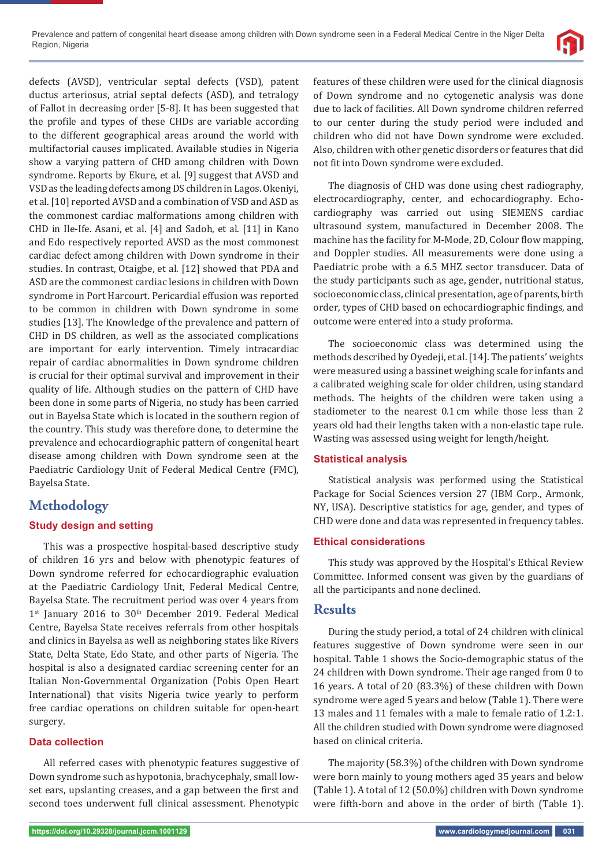

defects (AVSD), ventricular septal defects (VSD), patent ductus arteriosus, atrial septal defects (ASD), and tetralogy of Fallot in decreasing order [5-8]. It has been suggested that the profile and types of these CHDs are variable according to the different geographical areas around the world with multifactorial causes implicated. Available studies in Nigeria show a varying pattern of CHD among children with Down syndrome. Reports by Ekure, et al. [9] suggest that AVSD and VSD as the leading defects among DS children in Lagos. Okeniyi, et al. [10] reported AVSD and a combination of VSD and ASD as the commonest cardiac malformations among children with CHD in Ile-Ife. Asani, et al. [4] and Sadoh, et al. [11] in Kano and Edo respectively reported AVSD as the most commonest cardiac defect among children with Down syndrome in their studies. In contrast, Otaigbe, et al. [12] showed that PDA and ASD are the commonest cardiac lesions in children with Down syndrome in Port Harcourt. Pericardial effusion was reported to be common in children with Down syndrome in some studies [13]. The Knowledge of the prevalence and pattern of CHD in DS children, as well as the associated complications are important for early intervention. Timely intracardiac repair of cardiac abnormalities in Down syndrome children is crucial for their optimal survival and improvement in their quality of life. Although studies on the pattern of CHD have been done in some parts of Nigeria, no study has been carried out in Bayelsa State which is located in the southern region of the country. This study was therefore done, to determine the prevalence and echocardiographic pattern of congenital heart disease among children with Down syndrome seen at the Paediatric Cardiology Unit of Federal Medical Centre (FMC), Bayelsa State.

# **Methodology**

### **Study design and setting**

This was a prospective hospital-based descriptive study of children 16 yrs and below with phenotypic features of Down syndrome referred for echocardiographic evaluation at the Paediatric Cardiology Unit, Federal Medical Centre, Bayelsa State. The recruitment period was over 4 years from 1<sup>st</sup> January 2016 to 30<sup>th</sup> December 2019. Federal Medical Centre, Bayelsa State receives referrals from other hospitals and clinics in Bayelsa as well as neighboring states like Rivers State, Delta State, Edo State, and other parts of Nigeria. The hospital is also a designated cardiac screening center for an Italian Non-Governmental Organization (Pobis Open Heart International) that visits Nigeria twice yearly to perform free cardiac operations on children suitable for open-heart surgery.

### **Data collection**

All referred cases with phenotypic features suggestive of Down syndrome such as hypotonia, brachycephaly, small lowset ears, upslanting creases, and a gap between the first and second toes underwent full clinical assessment. Phenotypic

features of these children were used for the clinical diagnosis of Down syndrome and no cytogenetic analysis was done due to lack of facilities. All Down syndrome children referred to our center during the study period were included and children who did not have Down syndrome were excluded. Also, children with other genetic disorders or features that did not fit into Down syndrome were excluded.

The diagnosis of CHD was done using chest radiography, electrocardiography, center, and echocardiography. Echocardiography was carried out using SIEMENS cardiac ultrasound system, manufactured in December 2008. The machine has the facility for M-Mode, 2D, Colour flow mapping, and Doppler studies. All measurements were done using a Paediatric probe with a 6.5 MHZ sector transducer. Data of the study participants such as age, gender, nutritional status, socioeconomic class, clinical presentation, age of parents, birth order, types of CHD based on echocardiographic findings, and outcome were entered into a study proforma.

The socioeconomic class was determined using the methods described by Oyedeji, et al. [14]. The patients' weights were measured using a bassinet weighing scale for infants and a calibrated weighing scale for older children, using standard methods. The heights of the children were taken using a stadiometer to the nearest 0.1 cm while those less than 2 years old had their lengths taken with a non-elastic tape rule. Wasting was assessed using weight for length/height.

### **Statistical analysis**

Statistical analysis was performed using the Statistical Package for Social Sciences version 27 (IBM Corp., Armonk, NY, USA). Descriptive statistics for age, gender, and types of CHD were done and data was represented in frequency tables.

### **Ethical considerations**

This study was approved by the Hospital's Ethical Review Committee. Informed consent was given by the guardians of all the participants and none declined.

### **Results**

During the study period, a total of 24 children with clinical features suggestive of Down syndrome were seen in our hospital. Table 1 shows the Socio-demographic status of the 24 children with Down syndrome. Their age ranged from 0 to 16 years. A total of 20 (83.3%) of these children with Down syndrome were aged 5 years and below (Table 1). There were 13 males and 11 females with a male to female ratio of 1.2:1. All the children studied with Down syndrome were diagnosed based on clinical criteria.

The majority (58.3%) of the children with Down syndrome were born mainly to young mothers aged 35 years and below (Table 1). A total of 12 (50.0%) children with Down syndrome were fifth-born and above in the order of birth (Table 1).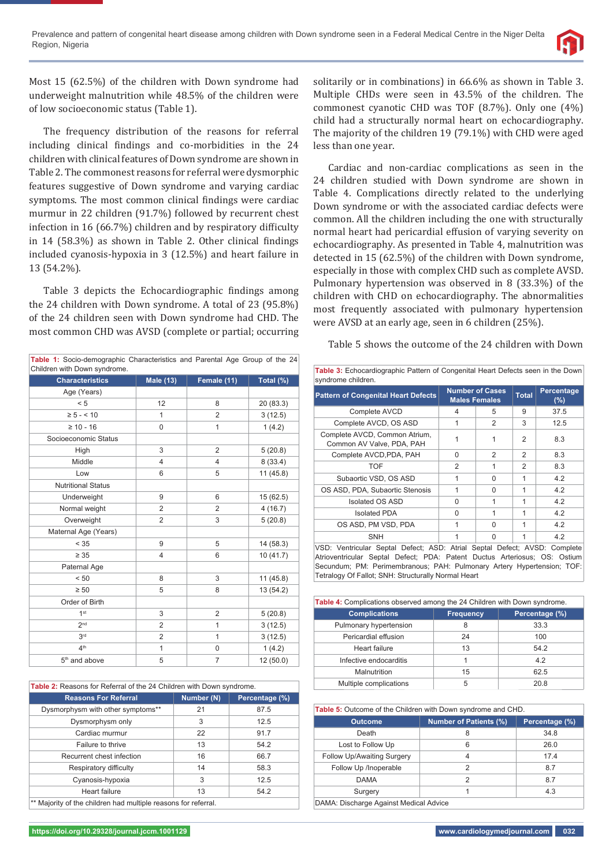

Most 15 (62.5%) of the children with Down syndrome had underweight malnutrition while 48.5% of the children were of low socioeconomic status (Table 1).

The frequency distribution of the reasons for referral including clinical findings and co-morbidities in the 24 children with clinical features of Down syndrome are shown in Table 2. The commonest reasons for referral were dysmorphic features suggestive of Down syndrome and varying cardiac symptoms. The most common clinical findings were cardiac murmur in 22 children (91.7%) followed by recurrent chest infection in 16  $(66.7%)$  children and by respiratory difficulty in  $14$  (58.3%) as shown in Table 2. Other clinical findings included cyanosis-hypoxia in 3 (12.5%) and heart failure in 13 (54.2%).

Table 3 depicts the Echocardiographic findings among the 24 children with Down syndrome. A total of 23 (95.8%) of the 24 children seen with Down syndrome had CHD. The most common CHD was AVSD (complete or partial; occurring

| Table 1: Socio-demographic Characteristics and Parental Age Group of the 24<br>Children with Down syndrome. |                  |                |           |
|-------------------------------------------------------------------------------------------------------------|------------------|----------------|-----------|
| <b>Characteristics</b>                                                                                      | <b>Male (13)</b> | Female (11)    | Total (%) |
| Age (Years)                                                                                                 |                  |                |           |
| < 5                                                                                                         | 12               | 8              | 20 (83.3) |
| $\ge 5 - 10$                                                                                                | $\mathbf{1}$     | $\overline{2}$ | 3(12.5)   |
| $\geq 10 - 16$                                                                                              | $\mathbf 0$      | $\mathbf{1}$   | 1(4.2)    |
| Socioeconomic Status                                                                                        |                  |                |           |
| High                                                                                                        | 3                | $\overline{2}$ | 5(20.8)   |
| Middle                                                                                                      | $\overline{4}$   | 4              | 8(33.4)   |
| Low                                                                                                         | 6                | 5              | 11 (45.8) |
| <b>Nutritional Status</b>                                                                                   |                  |                |           |
| Underweight                                                                                                 | 9                | 6              | 15(62.5)  |
| Normal weight                                                                                               | $\overline{2}$   | 2              | 4(16.7)   |
| Overweight                                                                                                  | $\overline{2}$   | 3              | 5(20.8)   |
| Maternal Age (Years)                                                                                        |                  |                |           |
| < 35                                                                                                        | 9                | 5              | 14(58.3)  |
| $\geq 35$                                                                                                   | $\overline{4}$   | 6              | 10 (41.7) |
| Paternal Age                                                                                                |                  |                |           |
| < 50                                                                                                        | 8                | 3              | 11(45.8)  |
| $\geq 50$                                                                                                   | 5                | 8              | 13 (54.2) |
| Order of Birth                                                                                              |                  |                |           |
| 1 <sup>st</sup>                                                                                             | 3                | 2              | 5(20.8)   |
| 2 <sub>nd</sub>                                                                                             | $\overline{2}$   | 1              | 3(12.5)   |
| 3rd                                                                                                         | $\overline{2}$   | 1              | 3(12.5)   |
| 4 <sup>th</sup>                                                                                             | $\mathbf{1}$     | 0              | 1(4.2)    |
| 5 <sup>th</sup> and above                                                                                   | 5                | $\overline{7}$ | 12(50.0)  |

| <b>Table 2:</b> Reasons for Referral of the 24 Children with Down syndrome. |            |                |  |
|-----------------------------------------------------------------------------|------------|----------------|--|
| <b>Reasons For Referral</b>                                                 | Number (N) | Percentage (%) |  |
| Dysmorphysm with other symptoms**                                           | 21         | 87.5           |  |
| Dysmorphysm only                                                            | 3          | 12.5           |  |
| Cardiac murmur                                                              | 22         | 91.7           |  |
| Failure to thrive                                                           | 13         | 54.2           |  |
| Recurrent chest infection                                                   | 16         | 66.7           |  |
| Respiratory difficulty                                                      | 14         | 58.3           |  |
| Cyanosis-hypoxia                                                            | 3          | 12.5           |  |
| Heart failure                                                               | 13         | 54.2           |  |
| ** Maiority of the children had multiple reasons for referral.              |            |                |  |

\*\* Majority of the children had multiple reasons for referral.

solitarily or in combinations) in 66.6% as shown in Table 3. Multiple CHDs were seen in 43.5% of the children. The commonest cyanotic CHD was TOF (8.7%). Only one (4%) child had a structurally normal heart on echocardiography. The majority of the children 19 (79.1%) with CHD were aged less than one year.

Cardiac and non-cardiac complications as seen in the 24 children studied with Down syndrome are shown in Table 4. Complications directly related to the underlying Down syndrome or with the associated cardiac defects were common. All the children including the one with structurally normal heart had pericardial effusion of varying severity on echocardiography. As presented in Table 4, malnutrition was detected in 15 (62.5%) of the children with Down syndrome, especially in those with complex CHD such as complete AVSD. Pulmonary hypertension was observed in 8 (33.3%) of the children with CHD on echocardiography. The abnormalities most frequently associated with pulmonary hypertension were AVSD at an early age, seen in 6 children (25%).

Table 5 shows the outcome of the 24 children with Down

| <b>Pattern of Congenital Heart Defects</b>                 |   | <b>Number of Cases</b><br><b>Males Females</b> | <b>Total</b>   | Percentage<br>(%) |
|------------------------------------------------------------|---|------------------------------------------------|----------------|-------------------|
| Complete AVCD                                              | 4 | 5                                              | 9              | 37.5              |
| Complete AVCD, OS ASD                                      |   | $\overline{2}$                                 | 3              | 12.5              |
| Complete AVCD, Common Atrium,<br>Common AV Valve, PDA, PAH |   |                                                | $\overline{2}$ | 8.3               |
| Complete AVCD, PDA, PAH                                    | 0 | $\mathfrak{p}$                                 | $\mathfrak{p}$ | 8.3               |
| <b>TOF</b>                                                 | 2 | 1                                              | 2              | 8.3               |
| Subaortic VSD, OS ASD                                      | 1 | O                                              | 1              | 4.2               |
| OS ASD, PDA, Subaortic Stenosis                            |   | 0                                              |                | 4.2               |
| Isolated OS ASD                                            | 0 |                                                |                | 4.2               |
| <b>Isolated PDA</b>                                        | O | 1                                              | 1              | 4.2               |
| OS ASD, PM VSD, PDA                                        |   | $\Omega$                                       |                | 4.2               |
| <b>SNH</b>                                                 |   | O                                              |                | 4.2               |

VSD: Ventricular Septal Defect; ASD: Atrial Septal Defect; AVSD: Complete Atrioventricular Septal Defect; PDA: Patent Ductus Arteriosus; OS: Ostium Secundum; PM: Perimembranous; PAH: Pulmonary Artery Hypertension; TOF: Tetralogy Of Fallot; SNH: Structurally Normal Heart

| <b>Table 4:</b> Complications observed among the 24 Children with Down syndrome. |                  |                |  |
|----------------------------------------------------------------------------------|------------------|----------------|--|
| <b>Complications</b>                                                             | <b>Frequency</b> | Percentage (%) |  |
| Pulmonary hypertension                                                           | 8                | 33.3           |  |
| Pericardial effusion                                                             | 24               | 100            |  |
| Heart failure                                                                    | 13               | 54.2           |  |
| Infective endocarditis                                                           |                  | 4.2            |  |
| Malnutrition                                                                     | 15               | 62.5           |  |
| Multiple complications                                                           | 5                | 20.8           |  |

| Table 5: Outcome of the Children with Down syndrome and CHD. |                               |                |  |
|--------------------------------------------------------------|-------------------------------|----------------|--|
| <b>Outcome</b>                                               | <b>Number of Patients (%)</b> | Percentage (%) |  |
| Death                                                        | 8                             | 34.8           |  |
| Lost to Follow Up                                            | 6                             | 26.0           |  |
| Follow Up/Awaiting Surgery                                   | 4                             | 17.4           |  |
| Follow Up /Inoperable                                        | 2                             | 8.7            |  |
| <b>DAMA</b>                                                  | 2                             | 8.7            |  |
| Surgery                                                      |                               | 4.3            |  |
| DAMA: Discharge Against Medical Advise                       |                               |                |  |

DAMA: Discharge Against Medical Advice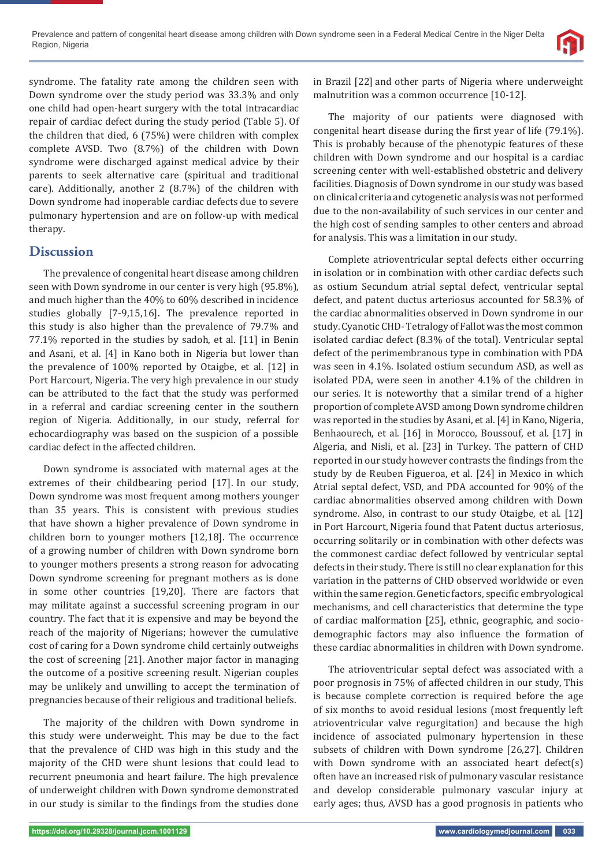syndrome. The fatality rate among the children seen with Down syndrome over the study period was 33.3% and only one child had open-heart surgery with the total intracardiac repair of cardiac defect during the study period (Table 5). Of the children that died, 6 (75%) were children with complex complete AVSD. Two (8.7%) of the children with Down syndrome were discharged against medical advice by their parents to seek alternative care (spiritual and traditional care). Additionally, another 2 (8.7%) of the children with Down syndrome had inoperable cardiac defects due to severe pulmonary hypertension and are on follow-up with medical therapy.

## **Discussion**

The prevalence of congenital heart disease among children seen with Down syndrome in our center is very high (95.8%), and much higher than the 40% to 60% described in incidence studies globally [7-9,15,16]. The prevalence reported in this study is also higher than the prevalence of 79.7% and 77.1% reported in the studies by sadoh, et al. [11] in Benin and Asani, et al. [4] in Kano both in Nigeria but lower than the prevalence of 100% reported by Otaigbe, et al. [12] in Port Harcourt, Nigeria. The very high prevalence in our study can be attributed to the fact that the study was performed in a referral and cardiac screening center in the southern region of Nigeria. Additionally, in our study, referral for echocardiography was based on the suspicion of a possible cardiac defect in the affected children.

Down syndrome is associated with maternal ages at the extremes of their childbearing period [17]. In our study, Down syndrome was most frequent among mothers younger than 35 years. This is consistent with previous studies that have shown a higher prevalence of Down syndrome in children born to younger mothers [12,18]. The occurrence of a growing number of children with Down syndrome born to younger mothers presents a strong reason for advocating Down syndrome screening for pregnant mothers as is done in some other countries [19,20]. There are factors that may militate against a successful screening program in our country. The fact that it is expensive and may be beyond the reach of the majority of Nigerians; however the cumulative cost of caring for a Down syndrome child certainly outweighs the cost of screening [21]. Another major factor in managing the outcome of a positive screening result. Nigerian couples may be unlikely and unwilling to accept the termination of pregnancies because of their religious and traditional beliefs.

The majority of the children with Down syndrome in this study were underweight. This may be due to the fact that the prevalence of CHD was high in this study and the majority of the CHD were shunt lesions that could lead to recurrent pneumonia and heart failure. The high prevalence of underweight children with Down syndrome demonstrated in our study is similar to the findings from the studies done in Brazil [22] and other parts of Nigeria where underweight malnutrition was a common occurrence [10-12].

The majority of our patients were diagnosed with congenital heart disease during the first year of life (79.1%). This is probably because of the phenotypic features of these children with Down syndrome and our hospital is a cardiac screening center with well-established obstetric and delivery facilities. Diagnosis of Down syndrome in our study was based on clinical criteria and cytogenetic analysis was not performed due to the non-availability of such services in our center and the high cost of sending samples to other centers and abroad for analysis. This was a limitation in our study.

Complete atrioventricular septal defects either occurring in isolation or in combination with other cardiac defects such as ostium Secundum atrial septal defect, ventricular septal defect, and patent ductus arteriosus accounted for 58.3% of the cardiac abnormalities observed in Down syndrome in our study. Cyanotic CHD- Tetralogy of Fallot was the most common isolated cardiac defect (8.3% of the total). Ventricular septal defect of the perimembranous type in combination with PDA was seen in 4.1%. Isolated ostium secundum ASD, as well as isolated PDA, were seen in another 4.1% of the children in our series. It is noteworthy that a similar trend of a higher proportion of complete AVSD among Down syndrome children was reported in the studies by Asani, et al. [4] in Kano, Nigeria, Benhaourech, et al. [16] in Morocco, Boussouf, et al. [17] in Algeria, and Nisli, et al. [23] in Turkey. The pattern of CHD reported in our study however contrasts the findings from the study by de Reuben Figueroa, et al. [24] in Mexico in which Atrial septal defect, VSD, and PDA accounted for 90% of the cardiac abnormalities observed among children with Down syndrome. Also, in contrast to our study Otaigbe, et al. [12] in Port Harcourt, Nigeria found that Patent ductus arteriosus, occurring solitarily or in combination with other defects was the commonest cardiac defect followed by ventricular septal defects in their study. There is still no clear explanation for this variation in the patterns of CHD observed worldwide or even within the same region. Genetic factors, specific embryological mechanisms, and cell characteristics that determine the type of cardiac malformation [25], ethnic, geographic, and sociodemographic factors may also influence the formation of these cardiac abnormalities in children with Down syndrome.

The atrioventricular septal defect was associated with a poor prognosis in 75% of affected children in our study, This is because complete correction is required before the age of six months to avoid residual lesions (most frequently left atrioventricular valve regurgitation) and because the high incidence of associated pulmonary hypertension in these subsets of children with Down syndrome [26,27]. Children with Down syndrome with an associated heart defect(s) often have an increased risk of pulmonary vascular resistance and develop considerable pulmonary vascular injury at early ages; thus, AVSD has a good prognosis in patients who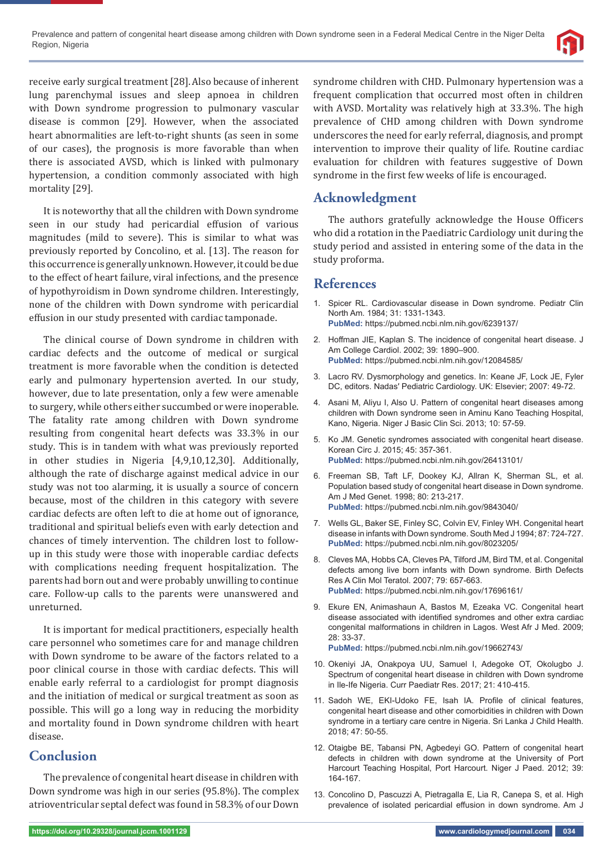

receive early surgical treatment [28].Also because of inherent lung parenchymal issues and sleep apnoea in children with Down syndrome progression to pulmonary vascular disease is common [29]. However, when the associated heart abnormalities are left-to-right shunts (as seen in some of our cases), the prognosis is more favorable than when there is associated AVSD, which is linked with pulmonary hypertension, a condition commonly associated with high mortality [29].

It is noteworthy that all the children with Down syndrome seen in our study had pericardial effusion of various magnitudes (mild to severe). This is similar to what was previously reported by Concolino, et al*.* [13]. The reason for this occurrence is generally unknown. However, it could be due to the effect of heart failure, viral infections, and the presence of hypothyroidism in Down syndrome children. Interestingly, none of the children with Down syndrome with pericardial effusion in our study presented with cardiac tamponade.

The clinical course of Down syndrome in children with cardiac defects and the outcome of medical or surgical treatment is more favorable when the condition is detected early and pulmonary hypertension averted. In our study, however, due to late presentation, only a few were amenable to surgery, while others either succumbed or were inoperable. The fatality rate among children with Down syndrome resulting from congenital heart defects was 33.3% in our study. This is in tandem with what was previously reported in other studies in Nigeria [4,9,10,12,30]. Additionally, although the rate of discharge against medical advice in our study was not too alarming, it is usually a source of concern because, most of the children in this category with severe cardiac defects are often left to die at home out of ignorance, traditional and spiritual beliefs even with early detection and chances of timely intervention. The children lost to followup in this study were those with inoperable cardiac defects with complications needing frequent hospitalization. The parents had born out and were probably unwilling to continue care. Follow-up calls to the parents were unanswered and unreturned.

It is important for medical practitioners, especially health care personnel who sometimes care for and manage children with Down syndrome to be aware of the factors related to a poor clinical course in those with cardiac defects. This will enable early referral to a cardiologist for prompt diagnosis and the initiation of medical or surgical treatment as soon as possible. This will go a long way in reducing the morbidity and mortality found in Down syndrome children with heart disease.

# **Conclusion**

The prevalence of congenital heart disease in children with Down syndrome was high in our series (95.8%). The complex atrioventricular septal defect was found in 58.3% of our Down syndrome children with CHD. Pulmonary hypertension was a frequent complication that occurred most often in children with AVSD. Mortality was relatively high at 33.3%. The high prevalence of CHD among children with Down syndrome underscores the need for early referral, diagnosis, and prompt intervention to improve their quality of life. Routine cardiac evaluation for children with features suggestive of Down syndrome in the first few weeks of life is encouraged.

# **Acknowledgment**

The authors gratefully acknowledge the House Officers who did a rotation in the Paediatric Cardiology unit during the study period and assisted in entering some of the data in the study proforma.

## **References**

- 1. Spicer RL. Cardiovascular disease in Down syndrome. Pediatr Clin North Am. 1984; 31: 1331-1343. **PubMed:** https://pubmed.ncbi.nlm.nih.gov/6239137/
- 2. Hoffman JIE, Kaplan S. The incidence of congenital heart disease. J Am College Cardiol. 2002; 39: 1890–900. **PubMed:** https://pubmed.ncbi.nlm.nih.gov/12084585/
- 3. Lacro RV. Dysmorphology and genetics. In: Keane JF, Lock JE, Fyler DC, editors. Nadas′ Pediatric Cardiology. UK: Elsevier; 2007: 49-72.
- 4. Asani M, Aliyu I, Also U. Pattern of congenital heart diseases among children with Down syndrome seen in Aminu Kano Teaching Hospital, Kano, Nigeria. Niger J Basic Clin Sci. 2013; 10: 57-59.
- 5. Ko JM. Genetic syndromes associated with congenital heart disease. Korean Circ J. 2015; 45: 357-361. **PubMed:** https://pubmed.ncbi.nlm.nih.gov/26413101/
- 6. Freeman SB, Taft LF, Dookey KJ, Allran K, Sherman SL, et al. Population based study of congenital heart disease in Down syndrome. Am J Med Genet. 1998; 80: 213-217. **PubMed:** https://pubmed.ncbi.nlm.nih.gov/9843040/
- 7. Wells GL, Baker SE, Finley SC, Colvin EV, Finley WH. Congenital heart disease in infants with Down syndrome. South Med J 1994; 87: 724-727. **PubMed:** https://pubmed.ncbi.nlm.nih.gov/8023205/
- 8. Cleves MA, Hobbs CA, Cleves PA, Tilford JM, Bird TM, et al. Congenital defects among live born infants with Down syndrome. Birth Defects Res A Clin Mol Teratol. 2007; 79: 657-663. **PubMed:** https://pubmed.ncbi.nlm.nih.gov/17696161/
- 9. Ekure EN, Animashaun A, Bastos M, Ezeaka VC. Congenital heart disease associated with identified syndromes and other extra cardiac congenital malformations in children in Lagos. West Afr J Med. 2009; 28: 33-37.
	- **PubMed:** https://pubmed.ncbi.nlm.nih.gov/19662743/
- 10. Okeniyi JA, Onakpoya UU, Samuel I, Adegoke OT, Okolugbo J. Spectrum of congenital heart disease in children with Down syndrome in Ile-Ife Nigeria. Curr Paediatr Res. 2017; 21: 410-415.
- 11. Sadoh WE, EKI-Udoko FE, Isah IA. Profile of clinical features, congenital heart disease and other comorbidities in children with Down syndrome in a tertiary care centre in Nigeria. Sri Lanka J Child Health. 2018; 47: 50-55.
- 12. Otaigbe BE, Tabansi PN, Agbedeyi GO. Pattern of congenital heart defects in children with down syndrome at the University of Port Harcourt Teaching Hospital, Port Harcourt. Niger J Paed. 2012; 39: 164-167.
- 13. Concolino D, Pascuzzi A, Pietragalla E, Lia R, Canepa S, et al. High prevalence of isolated pericardial effusion in down syndrome. Am J